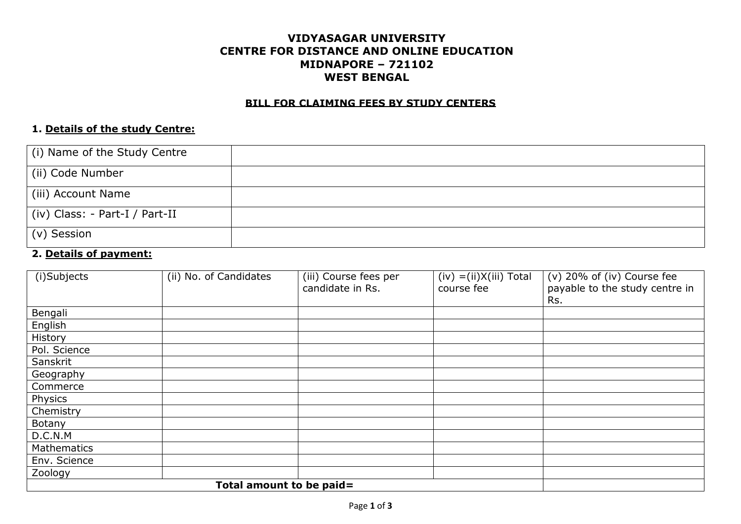## **VIDYASAGAR UNIVERSITY CENTRE FOR DISTANCE AND ONLINE EDUCATION MIDNAPORE – 721102 WEST BENGAL**

#### **BILL FOR CLAIMING FEES BY STUDY CENTERS**

#### **1. Details of the study Centre:**

| (i) Name of the Study Centre   |  |
|--------------------------------|--|
| (ii) Code Number               |  |
| (iii) Account Name             |  |
| (iv) Class: - Part-I / Part-II |  |
| $\vert$ (v) Session            |  |

#### **2. Details of payment:**

| (i)Subjects  | (ii) No. of Candidates   | (iii) Course fees per<br>candidate in Rs. | $(iv) = (ii)X(iii) Total$<br>course fee | (v) 20% of (iv) Course fee<br>payable to the study centre in<br>Rs. |
|--------------|--------------------------|-------------------------------------------|-----------------------------------------|---------------------------------------------------------------------|
| Bengali      |                          |                                           |                                         |                                                                     |
| English      |                          |                                           |                                         |                                                                     |
| History      |                          |                                           |                                         |                                                                     |
| Pol. Science |                          |                                           |                                         |                                                                     |
| Sanskrit     |                          |                                           |                                         |                                                                     |
| Geography    |                          |                                           |                                         |                                                                     |
| Commerce     |                          |                                           |                                         |                                                                     |
| Physics      |                          |                                           |                                         |                                                                     |
| Chemistry    |                          |                                           |                                         |                                                                     |
| Botany       |                          |                                           |                                         |                                                                     |
| D.C.N.M      |                          |                                           |                                         |                                                                     |
| Mathematics  |                          |                                           |                                         |                                                                     |
| Env. Science |                          |                                           |                                         |                                                                     |
| Zoology      |                          |                                           |                                         |                                                                     |
|              | Total amount to be paid= |                                           |                                         |                                                                     |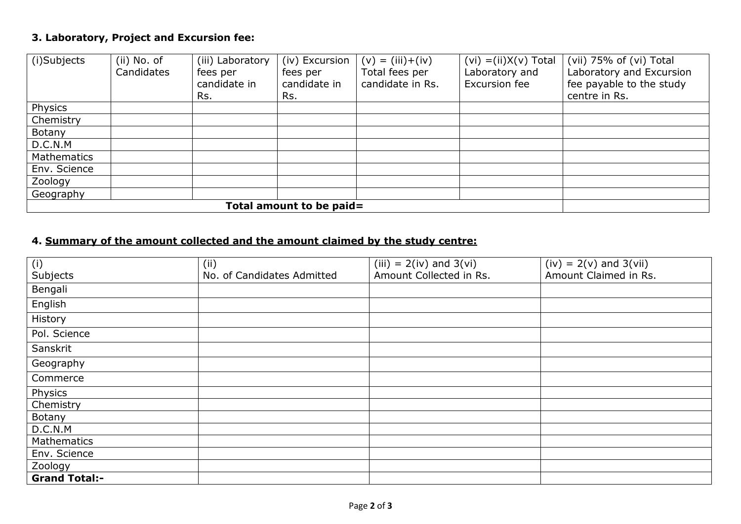## **3. Laboratory, Project and Excursion fee:**

| (i)Subjects              | $(ii)$ No. of | (iii) Laboratory | (iv) Excursion | $(v) = (iii) + (iv)$ | $(vi) = (ii)X(v)$ Total | (vii) 75% of (vi) Total  |
|--------------------------|---------------|------------------|----------------|----------------------|-------------------------|--------------------------|
|                          | Candidates    | fees per         | fees per       | Total fees per       | Laboratory and          | Laboratory and Excursion |
|                          |               | candidate in     | candidate in   | candidate in Rs.     | Excursion fee           | fee payable to the study |
|                          |               | Rs.              | Rs.            |                      |                         | centre in Rs.            |
| Physics                  |               |                  |                |                      |                         |                          |
| Chemistry                |               |                  |                |                      |                         |                          |
| Botany                   |               |                  |                |                      |                         |                          |
| D.C.N.M                  |               |                  |                |                      |                         |                          |
| Mathematics              |               |                  |                |                      |                         |                          |
| Env. Science             |               |                  |                |                      |                         |                          |
| Zoology                  |               |                  |                |                      |                         |                          |
| Geography                |               |                  |                |                      |                         |                          |
| Total amount to be paid= |               |                  |                |                      |                         |                          |

# **4. Summary of the amount collected and the amount claimed by the study centre:**

| (i)                  | (i)                        | $(iii) = 2(iv)$ and 3(vi) | $(iv) = 2(v)$ and 3(vii) |
|----------------------|----------------------------|---------------------------|--------------------------|
| Subjects             | No. of Candidates Admitted | Amount Collected in Rs.   | Amount Claimed in Rs.    |
| Bengali              |                            |                           |                          |
| English              |                            |                           |                          |
| History              |                            |                           |                          |
| Pol. Science         |                            |                           |                          |
| Sanskrit             |                            |                           |                          |
| Geography            |                            |                           |                          |
| Commerce             |                            |                           |                          |
| Physics              |                            |                           |                          |
| Chemistry            |                            |                           |                          |
| Botany               |                            |                           |                          |
| D.C.N.M              |                            |                           |                          |
| Mathematics          |                            |                           |                          |
| Env. Science         |                            |                           |                          |
| Zoology              |                            |                           |                          |
| <b>Grand Total:-</b> |                            |                           |                          |